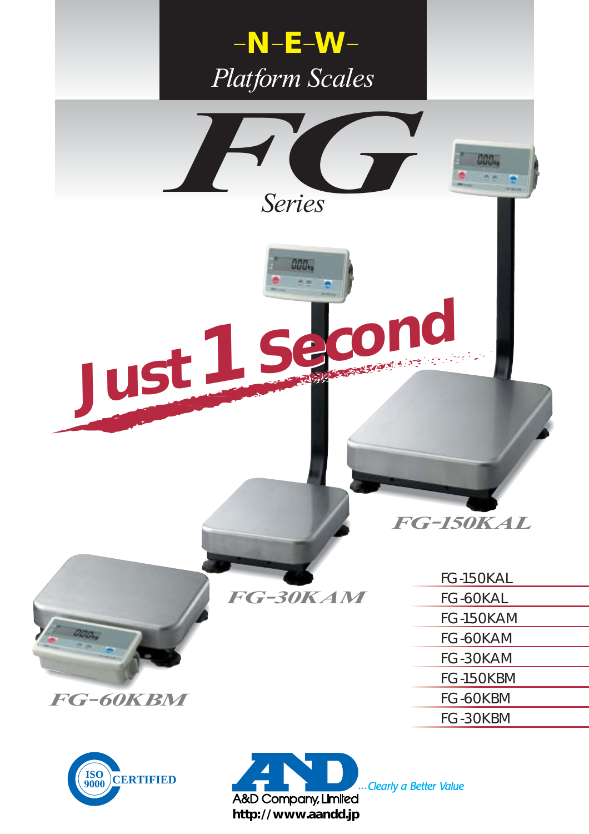

A&D Company, Limited **http://www.aandd.jp** Clearly a Better Value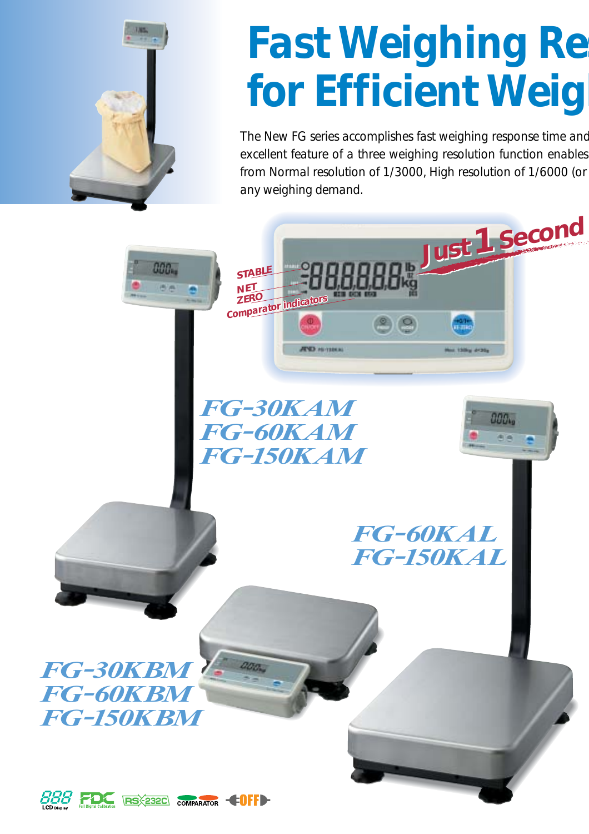

# **Fast Weighing Re for Efficient Weight**

*The New FG series accomplishes fast weighing response time and excellent feature of a three weighing resolution function enables from Normal resolution of 1/3000, High resolution of 1/6000 (or any weighing demand.*

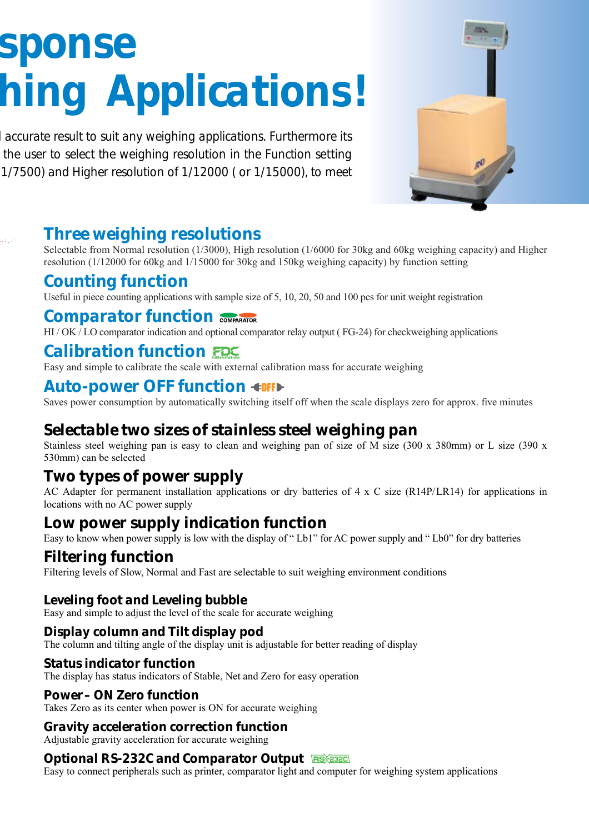# *sponse hing Applications!*

*d accurate result to suit any weighing applications. Furthermore its the user to select the weighing resolution in the Function setting 1/7500) and Higher resolution of 1/12000 ( or 1/15000), to meet* 



# *Three weighing resolutions*

Selectable from Normal resolution (1/3000), High resolution (1/6000 for 30kg and 60kg weighing capacity) and Higher resolution (1/12000 for 60kg and 1/15000 for 30kg and 150kg weighing capacity) by function setting

# *Counting function*

Useful in piece counting applications with sample size of 5, 10, 20, 50 and 100 pcs for unit weight registration

## *Comparator function*

HI / OK / LO comparator indication and optional comparator relay output (FG-24) for checkweighing applications

# *Calibration function*

Easy and simple to calibrate the scale with external calibration mass for accurate weighing

# **Auto-power OFF function <10FF**

Saves power consumption by automatically switching itself off when the scale displays zero for approx. five minutes

# *Selectable two sizes of stainless steel weighing pan*

Stainless steel weighing pan is easy to clean and weighing pan of size of M size (300 x 380mm) or L size (390 x 530mm) can be selected

# *Two types of power supply*

AC Adapter for permanent installation applications or dry batteries of 4 x C size (R14P/LR14) for applications in locations with no AC power supply

# *Low power supply indication function*

Easy to know when power supply is low with the display of " Lb1" for AC power supply and " Lb0" for dry batteries

# *Filtering function*

Filtering levels of Slow, Normal and Fast are selectable to suit weighing environment conditions

## *Leveling foot and Leveling bubble*

Easy and simple to adjust the level of the scale for accurate weighing

### *Display column and Tilt display pod*

The column and tilting angle of the display unit is adjustable for better reading of display

#### *Status indicator function*

The display has status indicators of Stable, Net and Zero for easy operation

#### *Power– ON Zero function*

Takes Zero as its center when power is ON for accurate weighing

#### *Gravity acceleration correction function*

Adjustable gravity acceleration for accurate weighing

### *Optional RS-232C and Comparator Output*

Easy to connect peripherals such as printer, comparator light and computer for weighing system applications